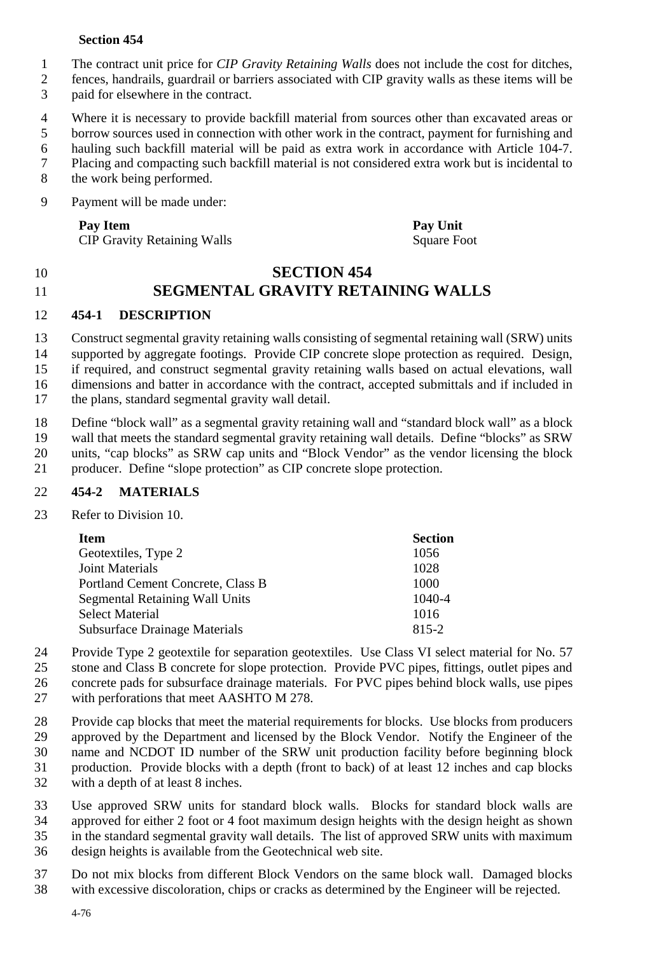## **Section 454**

- The contract unit price for *CIP Gravity Retaining Walls* does not include the cost for ditches,
- fences, handrails, guardrail or barriers associated with CIP gravity walls as these items will be
- paid for elsewhere in the contract.
- Where it is necessary to provide backfill material from sources other than excavated areas or
- borrow sources used in connection with other work in the contract, payment for furnishing and
- hauling such backfill material will be paid as extra work in accordance with Article 104-7.
- Placing and compacting such backfill material is not considered extra work but is incidental to the work being performed.
- 
- Payment will be made under:

# **Pay Item Pay Unit**

CIP Gravity Retaining Walls Square Foot

# **SECTION 454 SEGMENTAL GRAVITY RETAINING WALLS**

## **454-1 DESCRIPTION**

 Construct segmental gravity retaining walls consisting of segmental retaining wall (SRW) units supported by aggregate footings. Provide CIP concrete slope protection as required. Design, if required, and construct segmental gravity retaining walls based on actual elevations, wall dimensions and batter in accordance with the contract, accepted submittals and if included in the plans, standard segmental gravity wall detail.

 Define "block wall" as a segmental gravity retaining wall and "standard block wall" as a block wall that meets the standard segmental gravity retaining wall details. Define "blocks" as SRW units, "cap blocks" as SRW cap units and "Block Vendor" as the vendor licensing the block producer. Define "slope protection" as CIP concrete slope protection.

## **454-2 MATERIALS**

## Refer to Division 10.

| <b>Item</b>                           | <b>Section</b> |
|---------------------------------------|----------------|
| Geotextiles, Type 2                   | 1056           |
| Joint Materials                       | 1028           |
| Portland Cement Concrete, Class B     | 1000           |
| <b>Segmental Retaining Wall Units</b> | 1040-4         |
| Select Material                       | 1016           |
| Subsurface Drainage Materials         | 815-2          |

24 Provide Type 2 geotextile for separation geotextiles. Use Class VI select material for No. 57<br>25 stone and Class B concrete for slope protection. Provide PVC pipes, fittings, outlet pipes and stone and Class B concrete for slope protection. Provide PVC pipes, fittings, outlet pipes and concrete pads for subsurface drainage materials. For PVC pipes behind block walls, use pipes with perforations that meet AASHTO M 278.

 Provide cap blocks that meet the material requirements for blocks. Use blocks from producers approved by the Department and licensed by the Block Vendor. Notify the Engineer of the name and NCDOT ID number of the SRW unit production facility before beginning block production. Provide blocks with a depth (front to back) of at least 12 inches and cap blocks with a depth of at least 8 inches.

- Use approved SRW units for standard block walls. Blocks for standard block walls are approved for either 2 foot or 4 foot maximum design heights with the design height as shown in the standard segmental gravity wall details. The list of approved SRW units with maximum design heights is available from the Geotechnical web site.
- Do not mix blocks from different Block Vendors on the same block wall. Damaged blocks with excessive discoloration, chips or cracks as determined by the Engineer will be rejected.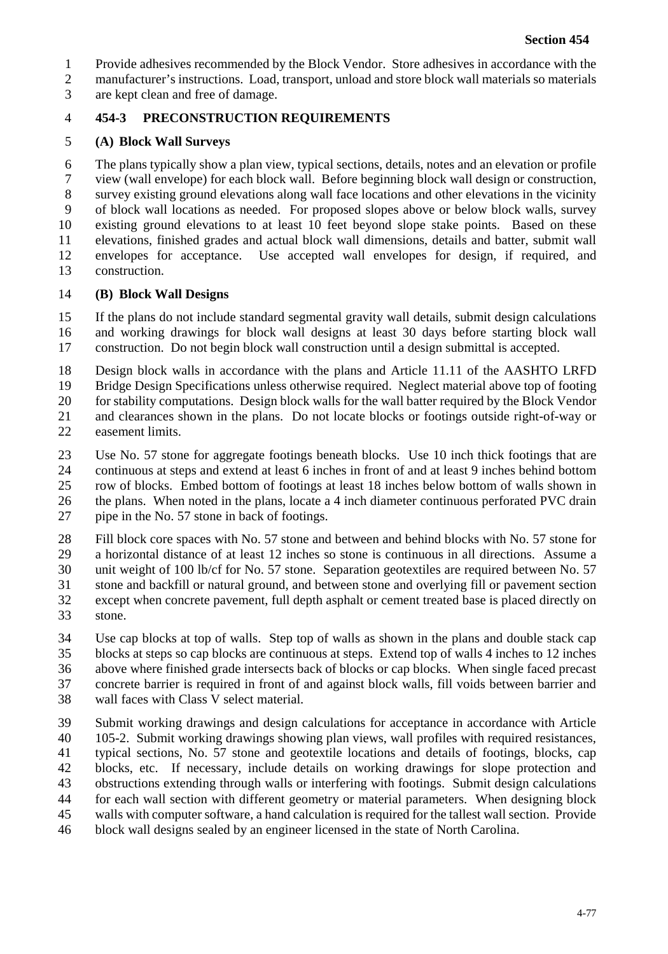- Provide adhesives recommended by the Block Vendor. Store adhesives in accordance with the
- manufacturer's instructions. Load, transport, unload and store block wall materials so materials are kept clean and free of damage.

# **454-3 PRECONSTRUCTION REQUIREMENTS**

# **(A) Block Wall Surveys**

 The plans typically show a plan view, typical sections, details, notes and an elevation or profile view (wall envelope) for each block wall. Before beginning block wall design or construction, survey existing ground elevations along wall face locations and other elevations in the vicinity of block wall locations as needed. For proposed slopes above or below block walls, survey existing ground elevations to at least 10 feet beyond slope stake points. Based on these elevations, finished grades and actual block wall dimensions, details and batter, submit wall envelopes for acceptance. Use accepted wall envelopes for design, if required, and construction.

# **(B) Block Wall Designs**

 If the plans do not include standard segmental gravity wall details, submit design calculations and working drawings for block wall designs at least 30 days before starting block wall construction. Do not begin block wall construction until a design submittal is accepted.

 Design block walls in accordance with the plans and Article 11.11 of the AASHTO LRFD Bridge Design Specifications unless otherwise required. Neglect material above top of footing for stability computations. Design block walls for the wall batter required by the Block Vendor and clearances shown in the plans. Do not locate blocks or footings outside right-of-way or easement limits.

 Use No. 57 stone for aggregate footings beneath blocks. Use 10 inch thick footings that are continuous at steps and extend at least 6 inches in front of and at least 9 inches behind bottom row of blocks. Embed bottom of footings at least 18 inches below bottom of walls shown in the plans. When noted in the plans, locate a 4 inch diameter continuous perforated PVC drain pipe in the No. 57 stone in back of footings.

 Fill block core spaces with No. 57 stone and between and behind blocks with No. 57 stone for a horizontal distance of at least 12 inches so stone is continuous in all directions. Assume a unit weight of 100 lb/cf for No. 57 stone. Separation geotextiles are required between No. 57 stone and backfill or natural ground, and between stone and overlying fill or pavement section except when concrete pavement, full depth asphalt or cement treated base is placed directly on stone.

 Use cap blocks at top of walls. Step top of walls as shown in the plans and double stack cap blocks at steps so cap blocks are continuous at steps. Extend top of walls 4 inches to 12 inches above where finished grade intersects back of blocks or cap blocks. When single faced precast concrete barrier is required in front of and against block walls, fill voids between barrier and wall faces with Class V select material.

 Submit working drawings and design calculations for acceptance in accordance with Article 105-2. Submit working drawings showing plan views, wall profiles with required resistances, typical sections, No. 57 stone and geotextile locations and details of footings, blocks, cap blocks, etc. If necessary, include details on working drawings for slope protection and obstructions extending through walls or interfering with footings. Submit design calculations for each wall section with different geometry or material parameters. When designing block walls with computer software, a hand calculation is required for the tallest wall section. Provide block wall designs sealed by an engineer licensed in the state of North Carolina.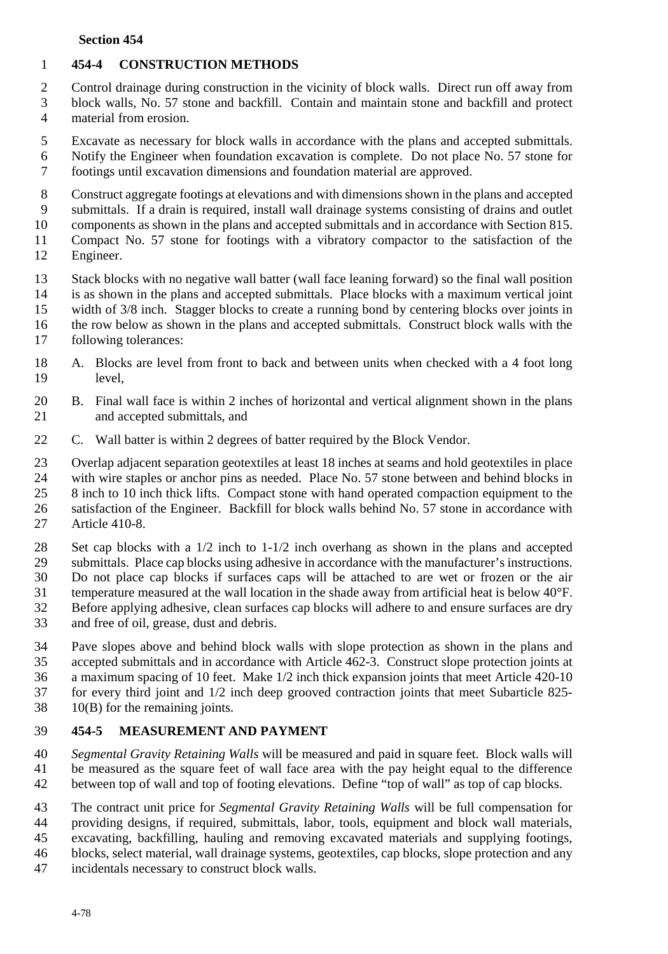# **Section 454**

# **454-4 CONSTRUCTION METHODS**

- Control drainage during construction in the vicinity of block walls. Direct run off away from
- block walls, No. 57 stone and backfill. Contain and maintain stone and backfill and protect material from erosion.
- Excavate as necessary for block walls in accordance with the plans and accepted submittals. Notify the Engineer when foundation excavation is complete. Do not place No. 57 stone for footings until excavation dimensions and foundation material are approved.
- Construct aggregate footings at elevations and with dimensions shown in the plans and accepted

submittals. If a drain is required, install wall drainage systems consisting of drains and outlet

components as shown in the plans and accepted submittals and in accordance with Section 815.

- Compact No. 57 stone for footings with a vibratory compactor to the satisfaction of the Engineer.
- Stack blocks with no negative wall batter (wall face leaning forward) so the final wall position
- is as shown in the plans and accepted submittals. Place blocks with a maximum vertical joint
- width of 3/8 inch. Stagger blocks to create a running bond by centering blocks over joints in the row below as shown in the plans and accepted submittals. Construct block walls with the
- - following tolerances:
	- A. Blocks are level from front to back and between units when checked with a 4 foot long level,
- B. Final wall face is within 2 inches of horizontal and vertical alignment shown in the plans and accepted submittals, and
- C. Wall batter is within 2 degrees of batter required by the Block Vendor.

 Overlap adjacent separation geotextiles at least 18 inches at seams and hold geotextiles in place with wire staples or anchor pins as needed. Place No. 57 stone between and behind blocks in 25 8 inch to 10 inch thick lifts. Compact stone with hand operated compaction equipment to the satisfaction of the Engineer. Backfill for block walls behind No. 57 stone in accordance with Article 410-8.

- Set cap blocks with a 1/2 inch to 1-1/2 inch overhang as shown in the plans and accepted submittals. Place cap blocks using adhesive in accordance with the manufacturer's instructions. Do not place cap blocks if surfaces caps will be attached to are wet or frozen or the air temperature measured at the wall location in the shade away from artificial heat is below 40°F. Before applying adhesive, clean surfaces cap blocks will adhere to and ensure surfaces are dry and free of oil, grease, dust and debris.
- Pave slopes above and behind block walls with slope protection as shown in the plans and accepted submittals and in accordance with Article 462-3. Construct slope protection joints at a maximum spacing of 10 feet. Make 1/2 inch thick expansion joints that meet Article 420-10 for every third joint and 1/2 inch deep grooved contraction joints that meet Subarticle 825-
- 10(B) for the remaining joints.

# **454-5 MEASUREMENT AND PAYMENT**

 *Segmental Gravity Retaining Walls* will be measured and paid in square feet. Block walls will be measured as the square feet of wall face area with the pay height equal to the difference between top of wall and top of footing elevations. Define "top of wall" as top of cap blocks.

43 The contract unit price for *Segmental Gravity Retaining Walls* will be full compensation for providing designs, if required, submittals, labor, tools, equipment and block wall materials. providing designs, if required, submittals, labor, tools, equipment and block wall materials, excavating, backfilling, hauling and removing excavated materials and supplying footings, blocks, select material, wall drainage systems, geotextiles, cap blocks, slope protection and any incidentals necessary to construct block walls.